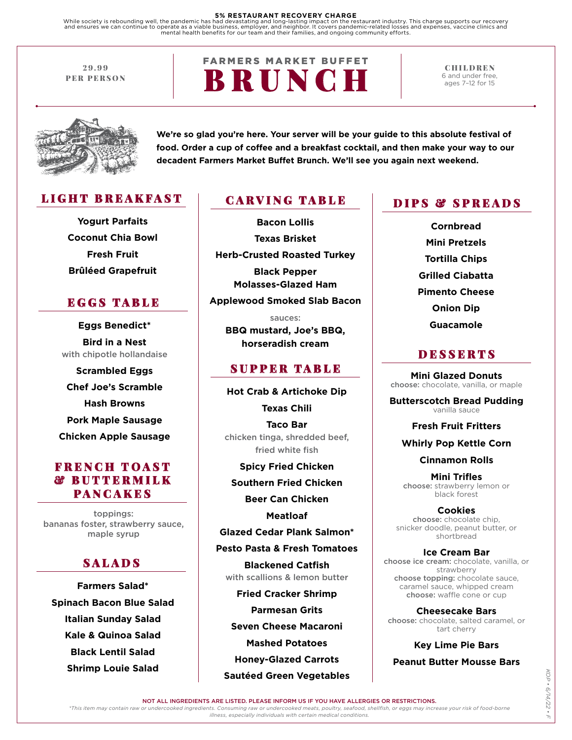#### **5% RESTAURANT RECOVERY CHARGE**

While society is rebounding well, the pandemic has had devastating and long-lasting impact on the restaurant industry. This charge supports our recovery<br>and ensures we can continue to operate as a viable business, employer

29.99 PER PERSON **FARMERS MARKET BUFFET** BRUNCH

CHILDREN 6 and under free, ages 7–12 for 15



**We're so glad you're here. Your server will be your guide to this absolute festival of food. Order a cup of coffee and a breakfast cocktail, and then make your way to our decadent Farmers Market Buffet Brunch. We'll see you again next weekend.**

### LIGHT BREAKFAST

**Yogurt Parfaits Coconut Chia Bowl Fresh Fruit Brûléed Grapefruit**

### EGGS TABLE

**Eggs Benedict\* Bird in a Nest**  with chipotle hollandaise

**Scrambled Eggs Chef Joe's Scramble Hash Browns Pork Maple Sausage Chicken Apple Sausage**

### FRENCH TOAST & BUTTERMILK PANCAKES

toppings: bananas foster, strawberry sauce, maple syrup

### **SALADS**

**Farmers Salad\* Spinach Bacon Blue Salad Italian Sunday Salad Kale & Quinoa Salad Black Lentil Salad Shrimp Louie Salad**

### CARVING TABLE

**Bacon Lollis Texas Brisket Herb-Crusted Roasted Turkey Black Pepper Molasses-Glazed Ham Applewood Smoked Slab Bacon**

sauces: **BBQ mustard, Joe's BBQ, horseradish cream** 

#### SUPPER TABLE

**Hot Crab & Artichoke Dip Texas Chili Taco Bar** chicken tinga, shredded beef, fried white fish

**Spicy Fried Chicken Southern Fried Chicken**

**Beer Can Chicken**

**Meatloaf**

**Glazed Cedar Plank Salmon\*** 

**Pesto Pasta & Fresh Tomatoes Blackened Catfish**  with scallions & lemon butter

**Fried Cracker Shrimp Parmesan Grits Seven Cheese Macaroni Mashed Potatoes Honey-Glazed Carrots Sautéed Green Vegetables** 

### DIPS & SPREADS

**Cornbread Mini Pretzels Tortilla Chips Grilled Ciabatta Pimento Cheese Onion Dip Guacamole**

### **DESSERTS**

**Mini Glazed Donuts**  choose: chocolate, vanilla, or maple

**Butterscotch Bread Pudding**  vanilla sauce

**Fresh Fruit Fritters**

**Whirly Pop Kettle Corn**

**Cinnamon Rolls**

**Mini Trifles**  choose: strawberry lemon or black forest

**Cookies** choose: chocolate chip, snicker doodle, peanut butter, or shortbread

**Ice Cream Bar**  choose ice cream: chocolate, vanilla, or strawberry choose topping: chocolate sauce, caramel sauce, whipped cream choose: waffle cone or cup

**Cheesecake Bars**  choose: chocolate, salted caramel, or tart cherry

**Key Lime Pie Bars**

**Peanut Butter Mousse Bars**

 $\overline{\phantom{a}}$ 

NOT ALL INGREDIENTS ARE LISTED. PLEASE INFORM US IF YOU HAVE ALLERGIES OR RESTRICTIONS.

*\*This item may contain raw or undercooked ingredients. Consuming raw or undercooked meats, poultry, seafood, shellfish, or eggs may increase your risk of food-borne illness, especially individuals with certain medical conditions.*